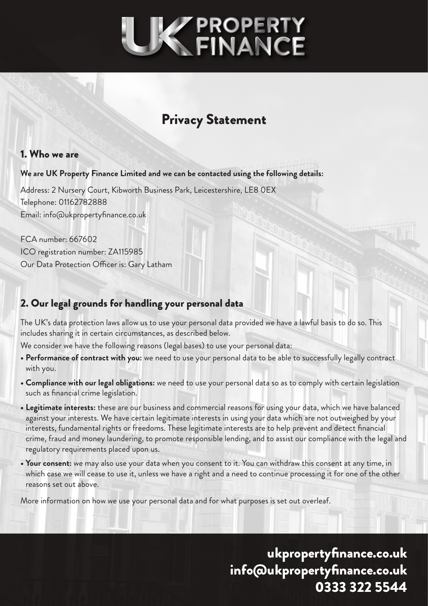

# Privacy Statement

#### 1. Who we are

#### **We are UK Property Finance Limited and we can be contacted using the following details:**

Address: 2 Nursery Court, Kibworth Business Park, Leicestershire, LE8 0EX Telephone: 01162782888 Email: info@ukpropertyfinance.co.uk

FCA number: 667602 ICO registration number: ZA115985 Our Data Protection Officer is: Gary Latham

### 2. Our legal grounds for handling your personal data

The UK's data protection laws allow us to use your personal data provided we have a lawful basis to do so. This includes sharing it in certain circumstances, as described below.

We consider we have the following reasons (legal bases) to use your personal data:

- **Performance of contract with you:** we need to use your personal data to be able to successfully legally contract with you.
- **Compliance with our legal obligations:** we need to use your personal data so as to comply with certain legislation such as financial crime legislation.
- **Legitimate interests:** these are our business and commercial reasons for using your data, which we have balanced against your interests. We have certain legitimate interests in using your data which are not outweighed by your interests, fundamental rights or freedoms. These legitimate interests are to help prevent and detect financial crime, fraud and money laundering, to promote responsible lending, and to assist our compliance with the legal and regulatory requirements placed upon us.
- **Your consent:** we may also use your data when you consent to it. You can withdraw this consent at any time, in which case we will cease to use it, unless we have a right and a need to continue processing it for one of the other reasons set out above.

More information on how we use your personal data and for what purposes is set out overleaf.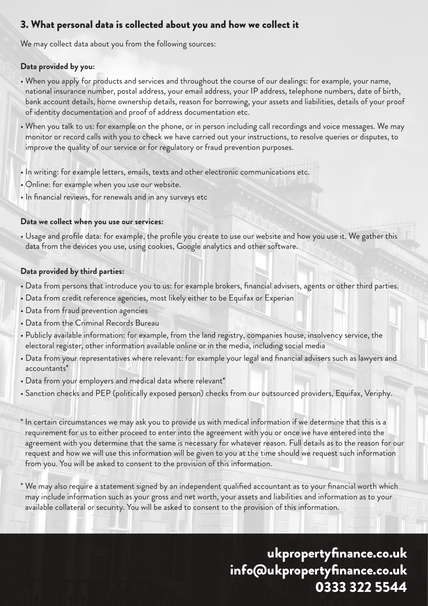# 3. What personal data is collected about you and how we collect it

We may collect data about you from the following sources:

#### **Data provided by you:**

- When you apply for products and services and throughout the course of our dealings: for example, your name, national insurance number, postal address, your email address, your IP address, telephone numbers, date of birth, bank account details, home ownership details, reason for borrowing, your assets and liabilities, details of your proof of identity documentation and proof of address documentation etc.
- When you talk to us: for example on the phone, or in person including call recordings and voice messages. We may monitor or record calls with you to check we have carried out your instructions, to resolve queries or disputes, to improve the quality of our service or for regulatory or fraud prevention purposes.
- In writing: for example letters, emails, texts and other electronic communications etc.
- Online: for example when you use our website.
- In financial reviews, for renewals and in any surveys etc

#### **Data we collect when you use our services:**

• Usage and profile data: for example, the profile you create to use our website and how you use it. We gather this data from the devices you use, using cookies, Google analytics and other software.

#### **Data provided by third parties:**

- Data from persons that introduce you to us: for example brokers, financial advisers, agents or other third parties.
- Data from credit reference agencies, most likely either to be Equifax or Experian
- Data from fraud prevention agencies
- Data from the Criminal Records Bureau
- Publicly available information: for example, from the land registry, companies house, insolvency service, the electoral register, other information available online or in the media, including social media
- Data from your representatives where relevant: for example your legal and financial advisers such as lawyers and accountants\*
- Data from your employers and medical data where relevant\*
- Sanction checks and PEP (politically exposed person) checks from our outsourced providers, Equifax, Veriphy.
- \* In certain circumstances we may ask you to provide us with medical information if we determine that this is a requirement for us to either proceed to enter into the agreement with you or once we have entered into the agreement with you determine that the same is necessary for whatever reason. Full details as to the reason for our request and how we will use this information will be given to you at the time should we request such information from you. You will be asked to consent to the provision of this information.
- \* We may also require a statement signed by an independent qualified accountant as to your financial worth which may include information such as your gross and net worth, your assets and liabilities and information as to your available collateral or security. You will be asked to consent to the provision of this information.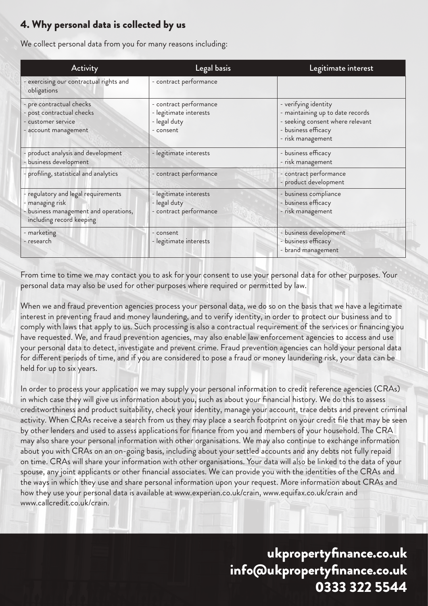# 4. Why personal data is collected by us

We collect personal data from you for many reasons including:

| Activity                                                                                                                    | Legal basis                                                                   | Legitimate interest                                                                                                                      |
|-----------------------------------------------------------------------------------------------------------------------------|-------------------------------------------------------------------------------|------------------------------------------------------------------------------------------------------------------------------------------|
| exercising our contractual rights and<br>obligations                                                                        | - contract performance                                                        |                                                                                                                                          |
| - pre contractual checks<br>- post contractual checks<br>- customer service<br>account management                           | - contract performance<br>- legitimate interests<br>- legal duty<br>- consent | - verifying identity<br>- maintaining up to date records<br>- seeking consent where relevant<br>- business efficacy<br>- risk management |
| product analysis and development<br>business development                                                                    | - legitimate interests                                                        | - business efficacy<br>- risk management                                                                                                 |
| profiling, statistical and analytics                                                                                        | - contract performance                                                        | - contract performance<br>- product development                                                                                          |
| - regulatory and legal requirements<br>- managing risk<br>- business management and operations,<br>including record keeping | - legitimate interests<br>- legal duty<br>- contract performance              | - business compliance<br>- business efficacy<br>- risk management                                                                        |
| - marketing<br>- research                                                                                                   | - consent<br>- legitimate interests                                           | - business development<br>- business efficacy<br>- brand management                                                                      |

From time to time we may contact you to ask for your consent to use your personal data for other purposes. Your personal data may also be used for other purposes where required or permitted by law.

When we and fraud prevention agencies process your personal data, we do so on the basis that we have a legitimate interest in preventing fraud and money laundering, and to verify identity, in order to protect our business and to comply with laws that apply to us. Such processing is also a contractual requirement of the services or financing you have requested. We, and fraud prevention agencies, may also enable law enforcement agencies to access and use your personal data to detect, investigate and prevent crime. Fraud prevention agencies can hold your personal data for different periods of time, and if you are considered to pose a fraud or money laundering risk, your data can be held for up to six years.

In order to process your application we may supply your personal information to credit reference agencies (CRAs) in which case they will give us information about you, such as about your financial history. We do this to assess creditworthiness and product suitability, check your identity, manage your account, trace debts and prevent criminal activity. When CRAs receive a search from us they may place a search footprint on your credit file that may be seen by other lenders and used to assess applications for finance from you and members of your household. The CRA may also share your personal information with other organisations. We may also continue to exchange information about you with CRAs on an on-going basis, including about your settled accounts and any debts not fully repaid on time. CRAs will share your information with other organisations. Your data will also be linked to the data of your spouse, any joint applicants or other financial associates. We can provide you with the identities of the CRAs and the ways in which they use and share personal information upon your request. More information about CRAs and how they use your personal data is available at www.experian.co.uk/crain, www.equifax.co.uk/crain and www.callcredit.co.uk/crain.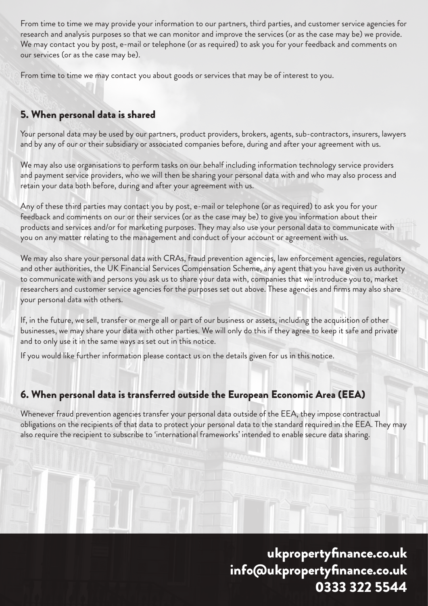From time to time we may provide your information to our partners, third parties, and customer service agencies for research and analysis purposes so that we can monitor and improve the services (or as the case may be) we provide. We may contact you by post, e-mail or telephone (or as required) to ask you for your feedback and comments on our services (or as the case may be).

From time to time we may contact you about goods or services that may be of interest to you.

# 5. When personal data is shared

Your personal data may be used by our partners, product providers, brokers, agents, sub-contractors, insurers, lawyers and by any of our or their subsidiary or associated companies before, during and after your agreement with us.

We may also use organisations to perform tasks on our behalf including information technology service providers and payment service providers, who we will then be sharing your personal data with and who may also process and retain your data both before, during and after your agreement with us.

Any of these third parties may contact you by post, e-mail or telephone (or as required) to ask you for your feedback and comments on our or their services (or as the case may be) to give you information about their products and services and/or for marketing purposes. They may also use your personal data to communicate with you on any matter relating to the management and conduct of your account or agreement with us.

We may also share your personal data with CRAs, fraud prevention agencies, law enforcement agencies, regulators and other authorities, the UK Financial Services Compensation Scheme, any agent that you have given us authority to communicate with and persons you ask us to share your data with, companies that we introduce you to, market researchers and customer service agencies for the purposes set out above. These agencies and firms may also share your personal data with others.

If, in the future, we sell, transfer or merge all or part of our business or assets, including the acquisition of other businesses, we may share your data with other parties. We will only do this if they agree to keep it safe and private and to only use it in the same ways as set out in this notice.

If you would like further information please contact us on the details given for us in this notice.

### 6. When personal data is transferred outside the European Economic Area (EEA)

Whenever fraud prevention agencies transfer your personal data outside of the EEA, they impose contractual obligations on the recipients of that data to protect your personal data to the standard required in the EEA. They may also require the recipient to subscribe to 'international frameworks' intended to enable secure data sharing.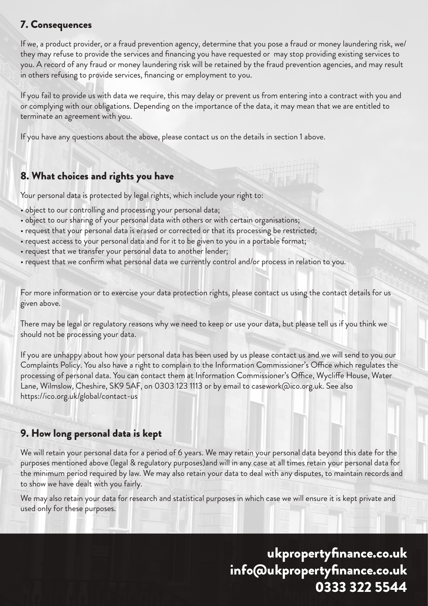# 7. Consequences

If we, a product provider, or a fraud prevention agency, determine that you pose a fraud or money laundering risk, we/ they may refuse to provide the services and financing you have requested or may stop providing existing services to you. A record of any fraud or money laundering risk will be retained by the fraud prevention agencies, and may result in others refusing to provide services, financing or employment to you.

If you fail to provide us with data we require, this may delay or prevent us from entering into a contract with you and or complying with our obligations. Depending on the importance of the data, it may mean that we are entitled to terminate an agreement with you.

If you have any questions about the above, please contact us on the details in section 1 above.

### 8. What choices and rights you have

Your personal data is protected by legal rights, which include your right to:

- object to our controlling and processing your personal data;
- object to our sharing of your personal data with others or with certain organisations;
- request that your personal data is erased or corrected or that its processing be restricted;
- request access to your personal data and for it to be given to you in a portable format;
- request that we transfer your personal data to another lender;
- request that we confirm what personal data we currently control and/or process in relation to you.

For more information or to exercise your data protection rights, please contact us using the contact details for us given above.

There may be legal or regulatory reasons why we need to keep or use your data, but please tell us if you think we should not be processing your data.

If you are unhappy about how your personal data has been used by us please contact us and we will send to you our Complaints Policy. You also have a right to complain to the Information Commissioner's Office which regulates the processing of personal data. You can contact them at Information Commissioner's Office, Wycliffe House, Water Lane, Wilmslow, Cheshire, SK9 5AF, on 0303 123 1113 or by email to casework@ico.org.uk. See also https://ico.org.uk/global/contact-us

#### 9. How long personal data is kept

We will retain your personal data for a period of 6 years. We may retain your personal data beyond this date for the purposes mentioned above (legal & regulatory purposes)and will in any case at all times retain your personal data for the minimum period required by law. We may also retain your data to deal with any disputes, to maintain records and to show we have dealt with you fairly.

We may also retain your data for research and statistical purposes in which case we will ensure it is kept private and used only for these purposes.